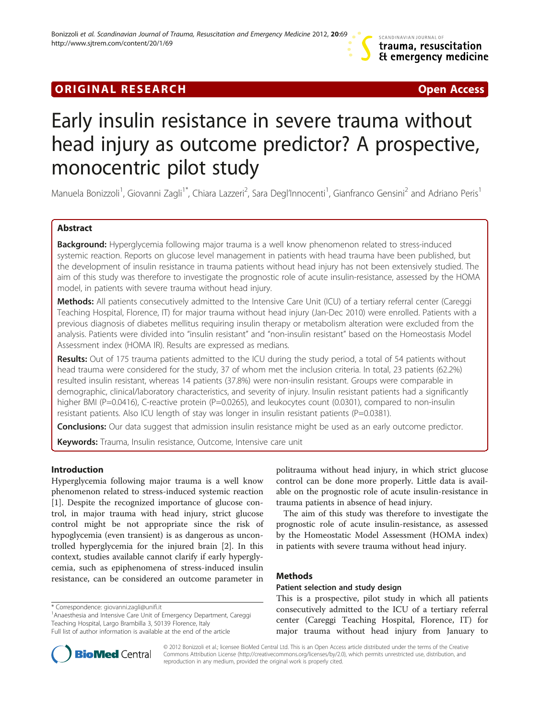# **ORIGINAL RESEARCH CONSUMING A RESEARCH CONSUMING A RESEARCH**

# Early insulin resistance in severe trauma without head injury as outcome predictor? A prospective, monocentric pilot study

Manuela Bonizzoli<sup>1</sup>, Giovanni Zagli<sup>1\*</sup>, Chiara Lazzeri<sup>2</sup>, Sara Degl'Innocenti<sup>1</sup>, Gianfranco Gensini<sup>2</sup> and Adriano Peris<sup>1</sup>

# Abstract

Background: Hyperglycemia following major trauma is a well know phenomenon related to stress-induced systemic reaction. Reports on glucose level management in patients with head trauma have been published, but the development of insulin resistance in trauma patients without head injury has not been extensively studied. The aim of this study was therefore to investigate the prognostic role of acute insulin-resistance, assessed by the HOMA model, in patients with severe trauma without head injury.

Methods: All patients consecutively admitted to the Intensive Care Unit (ICU) of a tertiary referral center (Careggi Teaching Hospital, Florence, IT) for major trauma without head injury (Jan-Dec 2010) were enrolled. Patients with a previous diagnosis of diabetes mellitus requiring insulin therapy or metabolism alteration were excluded from the analysis. Patients were divided into "insulin resistant" and "non-insulin resistant" based on the Homeostasis Model Assessment index (HOMA IR). Results are expressed as medians.

Results: Out of 175 trauma patients admitted to the ICU during the study period, a total of 54 patients without head trauma were considered for the study, 37 of whom met the inclusion criteria. In total, 23 patients (62.2%) resulted insulin resistant, whereas 14 patients (37.8%) were non-insulin resistant. Groups were comparable in demographic, clinical/laboratory characteristics, and severity of injury. Insulin resistant patients had a significantly higher BMI (P=0.0416), C-reactive protein (P=0.0265), and leukocytes count (0.0301), compared to non-insulin resistant patients. Also ICU length of stay was longer in insulin resistant patients (P=0.0381).

**Conclusions:** Our data suggest that admission insulin resistance might be used as an early outcome predictor.

Keywords: Trauma, Insulin resistance, Outcome, Intensive care unit

# Introduction

Hyperglycemia following major trauma is a well know phenomenon related to stress-induced systemic reaction [[1\]](#page-3-0). Despite the recognized importance of glucose control, in major trauma with head injury, strict glucose control might be not appropriate since the risk of hypoglycemia (even transient) is as dangerous as uncontrolled hyperglycemia for the injured brain [[2](#page-3-0)]. In this context, studies available cannot clarify if early hyperglycemia, such as epiphenomena of stress-induced insulin resistance, can be considered an outcome parameter in politrauma without head injury, in which strict glucose control can be done more properly. Little data is available on the prognostic role of acute insulin-resistance in trauma patients in absence of head injury.

The aim of this study was therefore to investigate the prognostic role of acute insulin-resistance, as assessed by the Homeostatic Model Assessment (HOMA index) in patients with severe trauma without head injury.

# Methods

## Patient selection and study design

This is a prospective, pilot study in which all patients consecutively admitted to the ICU of a tertiary referral center (Careggi Teaching Hospital, Florence, IT) for major trauma without head injury from January to



© 2012 Bonizzoli et al.; licensee BioMed Central Ltd. This is an Open Access article distributed under the terms of the Creative Commons Attribution License [\(http://creativecommons.org/licenses/by/2.0\)](http://creativecommons.org/licenses/by/2.0), which permits unrestricted use, distribution, and reproduction in any medium, provided the original work is properly cited.

<sup>\*</sup> Correspondence: [giovanni.zagli@unifi.it](mailto:giovanni.zagli@unifi.it) <sup>1</sup>

<sup>&</sup>lt;sup>1</sup> Anaesthesia and Intensive Care Unit of Emergency Department, Careggi Teaching Hospital, Largo Brambilla 3, 50139 Florence, Italy

Full list of author information is available at the end of the article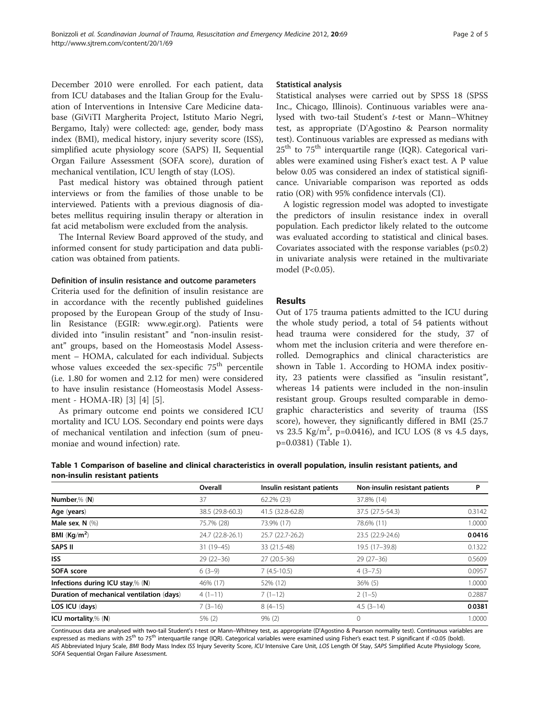<span id="page-1-0"></span>December 2010 were enrolled. For each patient, data from ICU databases and the Italian Group for the Evaluation of Interventions in Intensive Care Medicine database (GiViTI Margherita Project, Istituto Mario Negri, Bergamo, Italy) were collected: age, gender, body mass index (BMI), medical history, injury severity score (ISS), simplified acute physiology score (SAPS) II, Sequential Organ Failure Assessment (SOFA score), duration of mechanical ventilation, ICU length of stay (LOS).

Past medical history was obtained through patient interviews or from the families of those unable to be interviewed. Patients with a previous diagnosis of diabetes mellitus requiring insulin therapy or alteration in fat acid metabolism were excluded from the analysis.

The Internal Review Board approved of the study, and informed consent for study participation and data publication was obtained from patients.

#### Definition of insulin resistance and outcome parameters

Criteria used for the definition of insulin resistance are in accordance with the recently published guidelines proposed by the European Group of the study of Insulin Resistance (EGIR: [www.egir.org](http://www.egir.org)). Patients were divided into "insulin resistant" and "non-insulin resistant" groups, based on the Homeostasis Model Assessment – HOMA, calculated for each individual. Subjects whose values exceeded the sex-specific  $75<sup>th</sup>$  percentile (i.e. 1.80 for women and 2.12 for men) were considered to have insulin resistance (Homeostasis Model Assessment - HOMA-IR) [[3\]](#page-3-0) [[4](#page-4-0)] [\[5\]](#page-4-0).

As primary outcome end points we considered ICU mortality and ICU LOS. Secondary end points were days of mechanical ventilation and infection (sum of pneumoniae and wound infection) rate.

#### Statistical analysis

Statistical analyses were carried out by SPSS 18 (SPSS Inc., Chicago, Illinois). Continuous variables were analysed with two-tail Student's t-test or Mann–Whitney test, as appropriate (D'Agostino & Pearson normality test). Continuous variables are expressed as medians with  $25<sup>th</sup>$  to  $75<sup>th</sup>$  interquartile range (IQR). Categorical variables were examined using Fisher's exact test. A P value below 0.05 was considered an index of statistical significance. Univariable comparison was reported as odds ratio (OR) with 95% confidence intervals (CI).

A logistic regression model was adopted to investigate the predictors of insulin resistance index in overall population. Each predictor likely related to the outcome was evaluated according to statistical and clinical bases. Covariates associated with the response variables ( $p \le 0.2$ ) in univariate analysis were retained in the multivariate model (P<0.05).

# Results

Out of 175 trauma patients admitted to the ICU during the whole study period, a total of 54 patients without head trauma were considered for the study, 37 of whom met the inclusion criteria and were therefore enrolled. Demographics and clinical characteristics are shown in Table 1. According to HOMA index positivity, 23 patients were classified as "insulin resistant", whereas 14 patients were included in the non-insulin resistant group. Groups resulted comparable in demographic characteristics and severity of trauma (ISS score), however, they significantly differed in BMI (25.7 vs 23.5  $\text{Kg/m}^2$ , p=0.0416), and ICU LOS (8 vs 4.5 days, p=0.0381) (Table 1).

Table 1 Comparison of baseline and clinical characteristics in overall population, insulin resistant patients, and non-insulin resistant patients

|                                           | Overall          | Insulin resistant patients | Non-insulin resistant patients | P      |
|-------------------------------------------|------------------|----------------------------|--------------------------------|--------|
| Number,% (N)                              | 37               | $62.2\%$ (23)              | 37.8% (14)                     |        |
| Age (years)                               | 38.5 (29.8-60.3) | 41.5 (32.8-62.8)           | 37.5 (27.5-54.3)               | 0.3142 |
| Male sex, N (%)                           | 75.7% (28)       | 73.9% (17)                 | 78.6% (11)                     | 1.0000 |
| BMI $(Kg/m2)$                             | 24.7 (22.8-26.1) | 25.7 (22.7-26.2)           | 23.5 (22.9-24.6)               | 0.0416 |
| <b>SAPS II</b>                            | $31(19-45)$      | 33 (21.5-48)               | 19.5 (17-39.8)                 | 0.1322 |
| <b>ISS</b>                                | $29(22-36)$      | 27 (20.5-36)               | $29(27-36)$                    | 0.5609 |
| SOFA score                                | $6(3-9)$         | $7(4.5-10.5)$              | $4(3-7.5)$                     | 0.0957 |
| Infections during ICU stay,% (N)          | 46% (17)         | 52% (12)                   | $36\%$ (5)                     | 1.0000 |
| Duration of mechanical ventilation (days) | $4(1-11)$        | $7(1-12)$                  | $2(1-5)$                       | 0.2887 |
| LOS ICU (days)                            | $7(3-16)$        | $8(4-15)$                  | $4.5(3-14)$                    | 0.0381 |
| ICU mortality,% (N)                       | 5% (2)           | 9% (2)                     | 0                              | 1.0000 |

Continuous data are analysed with two-tail Student's t-test or Mann–Whitney test, as appropriate (D'Agostino & Pearson normality test). Continuous variables are expressed as medians with 25<sup>th</sup> to 75<sup>th</sup> interquartile range (IQR). Categorical variables were examined using Fisher's exact test. P significant if <0.05 (bold). AIS Abbreviated Injury Scale, BMI Body Mass Index ISS Injury Severity Score, ICU Intensive Care Unit, LOS Length Of Stay, SAPS Simplified Acute Physiology Score, SOFA Sequential Organ Failure Assessment.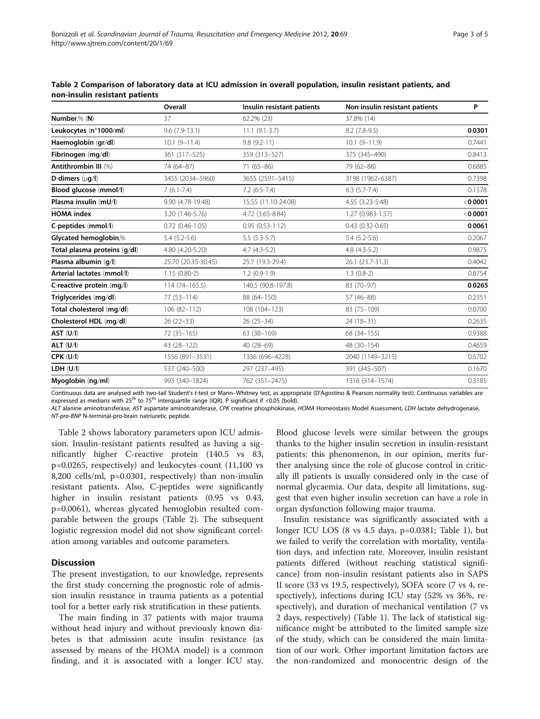|                              | Overall             | Insulin resistant patients | Non-insulin resistant patients | P          |
|------------------------------|---------------------|----------------------------|--------------------------------|------------|
| Number,% (N)                 | 37                  | 62.2% (23)                 | 37.8% (14)                     |            |
| Leukocytes (n*1000/ml)       | $9.6(7.9-13.1)$     | $11.1(9.1-3.7)$            | $8.2(7.8-9.5)$                 | 0.0301     |
| Haemoglobin (gr/dl)          | $10.1 (9 - 11.4)$   | $9.8(9.2-11)$              | $10.1(9 - 11.9)$               | 0.7441     |
| Fibrinogen (mg/dl)           | 361 (317-525)       | 359 (313-527)              | 375 (345-490)                  | 0.8413     |
| Antithrombin III (%)         | 74 (64-87)          | $71(65 - 86)$              | 79 (62-88)                     | 0.6885     |
| D-dimers $(\mu q/l)$         | 3455 (2034-5960)    | 3655 (2591-5415)           | 3198 (1962-6387)               | 0.7398     |
| Blood glucose (mmol/l)       | $7(6.1 - 7.4)$      | $7.2(6.5-7.4)$             | $6.3(5.7-7.4)$                 | 0.1578     |
| Plasma insulin (mU/l)        | 9.90 (4.78-19.48)   | 15.55 (11.10-24.08)        | 4.55 (3.23-5.48)               | < 0.0001   |
| <b>HOMA</b> index            | 3.20 (1.46-5.76)    | 4.72 (3.65-8.84)           | 1.27 (0.983-1.57)              | $<$ 0.0001 |
| C-peptides (mmol/l)          | $0.72(0.46-1.05)$   | $0.95(0.53-1.12)$          | $0.43(0.32 - 0.65)$            | 0.0061     |
| Glycated hemoglobin,%        | $5.4(5.2-5.6)$      | $5.5(5.3-5.7)$             | $5.4(5.2-5.6)$                 | 0.2067     |
| Total plasma proteins (g/dl) | 4.80 (4.20-5.20)    | $4.7(4.3-5.2)$             | $4.8(4.3-5.2)$                 | 0.9875     |
| Plasma albumin (q/l)         | 25.70 (20.35-30.45) | 25.7 (19.3-29.4)           | 26.1 (23.7-31.3)               | 0.4042     |
| Arterial lactates (mmol/l)   | $1.15(0.80-2)$      | $1.2(0.9-1.9)$             | $1.3(0.8-2)$                   | 0.8754     |
| C-reactive protein (mg/l)    | 114 (74-165.5)      | 140.5 (90.8-197.8)         | 83 (70-97)                     | 0.0265     |
| Triglycerides (mg/dl)        | $77(53 - 114)$      | 88 (64-150)                | 57 (46-88)                     | 0.2351     |
| Total cholesterol (mg/dl)    | $106(82-112)$       | 108 (104-123)              | 83 (75-109)                    | 0.0700     |
| Cholesterol HDL (mg/dl)      | $26(22-33)$         | $26(25-34)$                | 24 (18-31)                     | 0.2635     |
| AST (U/I)                    | $72(35 - 165)$      | 63 (38-169)                | 68 (34-155)                    | 0.9388     |
| $ALT$ (U/I)                  | 43 (28-122)         | $40(28-69)$                | 48 (30-154)                    | 0.4659     |
| CPK (U/I)                    | 1556 (891-3531)     | 1336 (696-4228)            | 2040 (1149-3215)               | 0.5702     |
| LDH (U/I)                    | 537 (240-500)       | 297 (237-495)              | 391 (345-507)                  | 0.1670     |
| Myoglobin (ng/ml)            | 993 (340-1824)      | 762 (351-2475)             | 1316 (314-1574)                | 0.3185     |

<span id="page-2-0"></span>Table 2 Comparison of laboratory data at ICU admission in overall population, insulin resistant patients, and non-insulin resistant patients

Continuous data are analysed with two-tail Student's t-test or Mann–Whitney test, as appropriate (D'Agostino & Pearson normality test). Continuous variables are expressed as medians with 25<sup>th</sup> to 75<sup>th</sup> interquartile range (IQR). P significant if <0.05 (bold).

ALT alanine aminotransferase, AST aspartate aminotransferase, CPK creatine phosphokinase, HOMA Homeostasis Model Assessment, LDH lactate dehydrogenase, NT-pro-BNP N-terminal-pro-brain natriuretic peptide.

Table 2 shows laboratory parameters upon ICU admission. Insulin-resistant patients resulted as having a significantly higher C-reactive protein (140.5 vs 83, p=0.0265, respectively) and leukocytes count (11,100 vs 8,200 cells/ml, p=0.0301, respectively) than non-insulin resistant patients. Also, C-peptides were significantly higher in insulin resistant patients (0.95 vs 0.43, p=0.0061), whereas glycated hemoglobin resulted comparable between the groups (Table 2). The subsequent logistic regression model did not show significant correlation among variables and outcome parameters.

# **Discussion**

The present investigation, to our knowledge, represents the first study concerning the prognostic role of admission insulin resistance in trauma patients as a potential tool for a better early risk stratification in these patients.

The main finding in 37 patients with major trauma without head injury and without previously known diabetes is that admission acute insulin resistance (as assessed by means of the HOMA model) is a common finding, and it is associated with a longer ICU stay. Blood glucose levels were similar between the groups thanks to the higher insulin secretion in insulin-resistant patients: this phenomenon, in our opinion, merits further analysing since the role of glucose control in critically ill patients is usually considered only in the case of normal glycaemia. Our data, despite all limitations, suggest that even higher insulin secretion can have a role in organ dysfunction following major trauma.

Insulin resistance was significantly associated with a longer ICU LOS (8 vs 4.5 days, p=0.0381; Table [1\)](#page-1-0), but we failed to verify the correlation with mortality, ventilation days, and infection rate. Moreover, insulin resistant patients differed (without reaching statistical significance) from non-insulin resistant patients also in SAPS II score (33 vs 19.5, respectively), SOFA score (7 vs 4, respectively), infections during ICU stay (52% vs 36%, respectively), and duration of mechanical ventilation (7 vs 2 days, respectively) (Table [1\)](#page-1-0). The lack of statistical significance might be attributed to the limited sample size of the study, which can be considered the main limitation of our work. Other important limitation factors are the non-randomized and monocentric design of the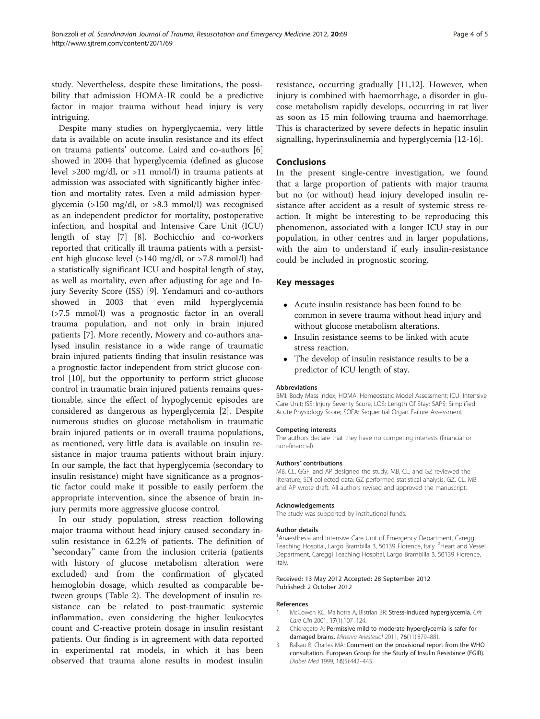<span id="page-3-0"></span>study. Nevertheless, despite these limitations, the possibility that admission HOMA-IR could be a predictive factor in major trauma without head injury is very intriguing.

Despite many studies on hyperglycaemia, very little data is available on acute insulin resistance and its effect on trauma patients' outcome. Laird and co-authors [\[6](#page-4-0)] showed in 2004 that hyperglycemia (defined as glucose level >200 mg/dl, or >11 mmol/l) in trauma patients at admission was associated with significantly higher infection and mortality rates. Even a mild admission hyperglycemia (>150 mg/dl, or >8.3 mmol/l) was recognised as an independent predictor for mortality, postoperative infection, and hospital and Intensive Care Unit (ICU) length of stay [\[7](#page-4-0)] [\[8](#page-4-0)]. Bochicchio and co-workers reported that critically ill trauma patients with a persistent high glucose level (>140 mg/dl, or >7.8 mmol/l) had a statistically significant ICU and hospital length of stay, as well as mortality, even after adjusting for age and Injury Severity Score (ISS) [\[9\]](#page-4-0). Yendamuri and co-authors showed in 2003 that even mild hyperglycemia (>7.5 mmol/l) was a prognostic factor in an overall trauma population, and not only in brain injured patients [\[7\]](#page-4-0). More recently, Mowery and co-authors analysed insulin resistance in a wide range of traumatic brain injured patients finding that insulin resistance was a prognostic factor independent from strict glucose control [[10](#page-4-0)], but the opportunity to perform strict glucose control in traumatic brain injured patients remains questionable, since the effect of hypoglycemic episodes are considered as dangerous as hyperglycemia [2]. Despite numerous studies on glucose metabolism in traumatic brain injured patients or in overall trauma populations, as mentioned, very little data is available on insulin resistance in major trauma patients without brain injury. In our sample, the fact that hyperglycemia (secondary to insulin resistance) might have significance as a prognostic factor could make it possible to easily perform the appropriate intervention, since the absence of brain injury permits more aggressive glucose control.

In our study population, stress reaction following major trauma without head injury caused secondary insulin resistance in 62.2% of patients. The definition of "secondary" came from the inclusion criteria (patients with history of glucose metabolism alteration were excluded) and from the confirmation of glycated hemoglobin dosage, which resulted as comparable between groups (Table [2](#page-2-0)). The development of insulin resistance can be related to post-traumatic systemic inflammation, even considering the higher leukocytes count and C-reactive protein dosage in insulin resistant patients. Our finding is in agreement with data reported in experimental rat models, in which it has been observed that trauma alone results in modest insulin

resistance, occurring gradually [\[11,12](#page-4-0)]. However, when injury is combined with haemorrhage, a disorder in glucose metabolism rapidly develops, occurring in rat liver as soon as 15 min following trauma and haemorrhage. This is characterized by severe defects in hepatic insulin signalling, hyperinsulinemia and hyperglycemia [\[12](#page-4-0)-[16\]](#page-4-0).

# Conclusions

In the present single-centre investigation, we found that a large proportion of patients with major trauma but no (or without) head injury developed insulin resistance after accident as a result of systemic stress reaction. It might be interesting to be reproducing this phenomenon, associated with a longer ICU stay in our population, in other centres and in larger populations, with the aim to understand if early insulin-resistance could be included in prognostic scoring.

## Key messages

- Acute insulin resistance has been found to be common in severe trauma without head injury and without glucose metabolism alterations.
- Insulin resistance seems to be linked with acute stress reaction.
- The develop of insulin resistance results to be a predictor of ICU length of stay.

#### Abbreviations

BMI: Body Mass Index; HOMA: Homeostatic Model Assessment; ICU: Intensive Care Unit; ISS: Injury Severity Score, LOS: Length Of Stay; SAPS: Simplified Acute Physiology Score; SOFA: Sequential Organ Failure Assessment.

#### Competing interests

The authors declare that they have no competing interests (financial or non-financial).

#### Authors' contributions

MB, CL, GGF, and AP designed the study; MB, CL, and GZ reviewed the literature; SDI collected data; GZ performed statistical analysis; GZ, CL, MB and AP wrote draft. All authors revised and approved the manuscript.

#### Acknowledgements

The study was supported by institutional funds.

#### Author details

<sup>1</sup> Anaesthesia and Intensive Care Unit of Emergency Department, Careggi Teaching Hospital, Largo Brambilla 3, 50139 Florence, Italy. <sup>2</sup>Heart and Vessel Department, Careggi Teaching Hospital, Largo Brambilla 3, 50139 Florence, Italy.

#### Received: 13 May 2012 Accepted: 28 September 2012 Published: 2 October 2012

#### References

- 1. McCowen KC, Malhotra A, Bistrian BR: Stress-induced hyperglycemia. Crit Care Clin 2001, 17(1):107–124.
- 2. Chieregato A: Permissive mild to moderate hyperglycemia is safer for damaged brains. Minerva Anestesiol 2011, 76(11):879–881.
- 3. Balkau B, Charles MA: Comment on the provisional report from the WHO consultation. European Group for the Study of Insulin Resistance (EGIR). Diabet Med 1999, 16(5):442–443.